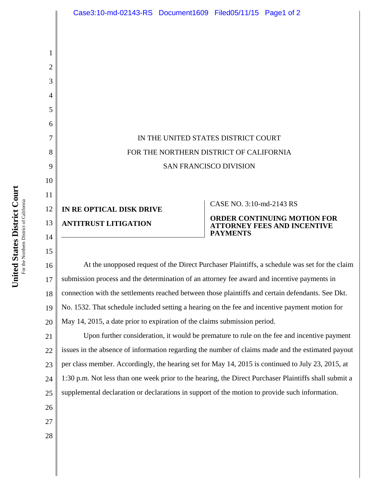IN THE UNITED STATES DISTRICT COURT FOR THE NORTHERN DISTRICT OF CALIFORNIA SAN FRANCISCO DIVISION **IN RE OPTICAL DISK DRIVE ANTITRUST LITIGATION**  CASE NO. 3:10-md-2143 RS **ORDER CONTINUING MOTION FOR ATTORNEY FEES AND INCENTIVE PAYMENTS** Case3:10-md-02143-RS Document1609 Filed05/11/15 Page1 of 2

16 17 18 19 20 At the unopposed request of the Direct Purchaser Plaintiffs, a schedule was set for the claim submission process and the determination of an attorney fee award and incentive payments in connection with the settlements reached between those plaintiffs and certain defendants. See Dkt. No. 1532. That schedule included setting a hearing on the fee and incentive payment motion for May 14, 2015, a date prior to expiration of the claims submission period.

21 22 23 24 25 Upon further consideration, it would be premature to rule on the fee and incentive payment issues in the absence of information regarding the number of claims made and the estimated payout per class member. Accordingly, the hearing set for May 14, 2015 is continued to July 23, 2015, at 1:30 p.m. Not less than one week prior to the hearing, the Direct Purchaser Plaintiffs shall submit a supplemental declaration or declarations in support of the motion to provide such information.

**Court** For the Northern District of California For the Northern District of Californi **States District United** 

1

2

3

4

5

6

7

8

9

10

11

12

13

14

15

26

27

28